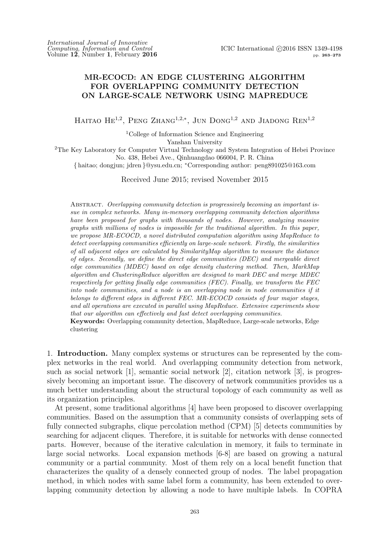# **MR-ECOCD: AN EDGE CLUSTERING ALGORITHM FOR OVERLAPPING COMMUNITY DETECTION ON LARGE-SCALE NETWORK USING MAPREDUCE**

HAITAO HE<sup>1,2</sup>, PENG ZHANG<sup>1,2,\*</sup>, JUN DONG<sup>1,2</sup> AND JIADONG REN<sup>1,2</sup>

<sup>1</sup>College of Information Science and Engineering

Yanshan University

<sup>2</sup>The Key Laboratory for Computer Virtual Technology and System Integration of Hebei Province No. 438, Hebei Ave., Qinhuangdao 066004, P. R. China

*{* haitao; dongjun; jdren *}*@ysu.edu.cn; *<sup>∗</sup>*Corresponding author: peng891025@163.com

Received June 2015; revised November 2015

Abstract. *Overlapping community detection is progressively becoming an important issue in complex networks. Many in-memory overlapping community detection algorithms have been proposed for graphs with thousands of nodes. However, analyzing massive graphs with millions of nodes is impossible for the traditional algorithm. In this paper, we propose MR-ECOCD, a novel distributed computation algorithm using MapReduce to detect overlapping communities efficiently on large-scale network. Firstly, the similarities of all adjacent edges are calculated by SimilarityMap algorithm to measure the distance of edges. Secondly, we define the direct edge communities (DEC) and mergeable direct edge communities (MDEC) based on edge density clustering method. Then, MarkMap algorithm and ClusteringReduce algorithm are designed to mark DEC and merge MDEC respectively for getting finally edge communities (FEC). Finally, we transform the FEC into node communities, and a node is an overlapping node in node communities if it belongs to different edges in different FEC. MR-ECOCD consists of four major stages, and all operations are executed in parallel using MapReduce. Extensive experiments show that our algorithm can effectively and fast detect overlapping communities.*

**Keywords:** Overlapping community detection, MapReduce, Large-scale networks, Edge clustering

1. **Introduction.** Many complex systems or structures can be represented by the complex networks in the real world. And overlapping community detection from network, such as social network [1], semantic social network [2], citation network [3], is progressively becoming an important issue. The discovery of network communities provides us a much better understanding about the structural topology of each community as well as its organization principles.

At present, some traditional algorithms [4] have been proposed to discover overlapping communities. Based on the assumption that a community consists of overlapping sets of fully connected subgraphs, clique percolation method (CPM) [5] detects communities by searching for adjacent cliques. Therefore, it is suitable for networks with dense connected parts. However, because of the iterative calculation in memory, it fails to terminate in large social networks. Local expansion methods [6-8] are based on growing a natural community or a partial community. Most of them rely on a local benefit function that characterizes the quality of a densely connected group of nodes. The label propagation method, in which nodes with same label form a community, has been extended to overlapping community detection by allowing a node to have multiple labels. In COPRA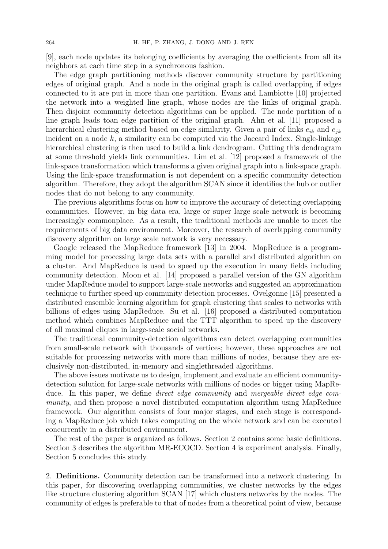[9], each node updates its belonging coefficients by averaging the coefficients from all its neighbors at each time step in a synchronous fashion.

The edge graph partitioning methods discover community structure by partitioning edges of original graph. And a node in the original graph is called overlapping if edges connected to it are put in more than one partition. Evans and Lambiotte [10] projected the network into a weighted line graph, whose nodes are the links of original graph. Then disjoint community detection algorithms can be applied. The node partition of a line graph leads toan edge partition of the original graph. Ahn et al. [11] proposed a hierarchical clustering method based on edge similarity. Given a pair of links *eik* and *ejk* incident on a node *k*, a similarity can be computed via the Jaccard Index. Single-linkage hierarchical clustering is then used to build a link dendrogram. Cutting this dendrogram at some threshold yields link communities. Lim et al. [12] proposed a framework of the link-space transformation which transforms a given original graph into a link-space graph. Using the link-space transformation is not dependent on a specific community detection algorithm. Therefore, they adopt the algorithm SCAN since it identifies the hub or outlier nodes that do not belong to any community.

The previous algorithms focus on how to improve the accuracy of detecting overlapping communities. However, in big data era, large or super large scale network is becoming increasingly commonplace. As a result, the traditional methods are unable to meet the requirements of big data environment. Moreover, the research of overlapping community discovery algorithm on large scale network is very necessary.

Google released the MapReduce framework [13] in 2004. MapReduce is a programming model for processing large data sets with a parallel and distributed algorithm on a cluster. And MapReduce is used to speed up the execution in many fields including community detection. Moon et al. [14] proposed a parallel version of the GN algorithm under MapReduce model to support large-scale networks and suggested an approximation technique to further speed up community detection processes. Ovelgonne [15] presented a distributed ensemble learning algorithm for graph clustering that scales to networks with billions of edges using MapReduce. Su et al. [16] proposed a distributed computation method which combines MapReduce and the TTT algorithm to speed up the discovery of all maximal cliques in large-scale social networks.

The traditional community-detection algorithms can detect overlapping communities from small-scale network with thousands of vertices; however, these approaches are not suitable for processing networks with more than millions of nodes, because they are exclusively non-distributed, in-memory and singlethreaded algorithms.

The above issues motivate us to design, implement,and evaluate an efficient communitydetection solution for large-scale networks with millions of nodes or bigger using MapReduce. In this paper, we define *direct edge community* and *mergeable direct edge community*, and then propose a novel distributed computation algorithm using MapReduce framework. Our algorithm consists of four major stages, and each stage is corresponding a MapReduce job which takes computing on the whole network and can be executed concurrently in a distributed environment.

The rest of the paper is organized as follows. Section 2 contains some basic definitions. Section 3 describes the algorithm MR-ECOCD. Section 4 is experiment analysis. Finally, Section 5 concludes this study.

2. **Definitions.** Community detection can be transformed into a network clustering. In this paper, for discovering overlapping communities, we cluster networks by the edges like structure clustering algorithm SCAN [17] which clusters networks by the nodes. The community of edges is preferable to that of nodes from a theoretical point of view, because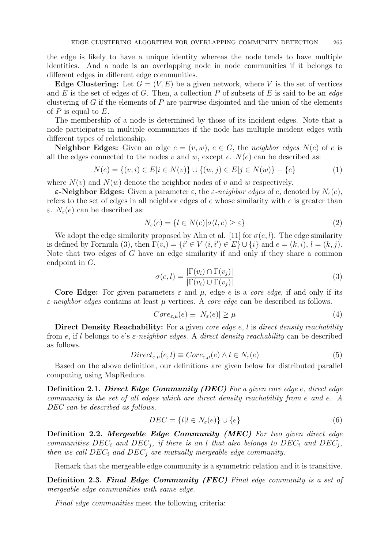the edge is likely to have a unique identity whereas the node tends to have multiple identities. And a node is an overlapping node in node communities if it belongs to different edges in different edge communities.

**Edge Clustering:** Let  $G = (V, E)$  be a given network, where V is the set of vertices and *E* is the set of edges of *G*. Then, a collection *P* of subsets of *E* is said to be an *edge* clustering of *G* if the elements of *P* are pairwise disjointed and the union of the elements of *P* is equal to *E*.

The membership of a node is determined by those of its incident edges. Note that a node participates in multiple communities if the node has multiple incident edges with different types of relationship.

**Neighbor Edges:** Given an edge  $e = (v, w)$ ,  $e \in G$ , the *neighbor edges*  $N(e)$  of  $e$  is all the edges connected to the nodes  $v$  and  $w$ , except  $e$ .  $N(e)$  can be described as:

$$
N(e) = \{(v, i) \in E | i \in N(v)\} \cup \{(w, j) \in E | j \in N(w)\} - \{e\}
$$
 (1)

where  $N(v)$  and  $N(w)$  denote the neighbor nodes of *v* and *w* respectively.

*ε***-Neighbor Edges:** Given a parameter *ε*, the *ε-neighbor edges* of *e*, denoted by *Nε*(*e*), refers to the set of edges in all neighbor edges of *e* whose similarity with *e* is greater than *ε*.  $N_{\varepsilon}(e)$  can be described as:

$$
N_{\varepsilon}(e) = \{l \in N(e) | \sigma(l, e) \ge \varepsilon\}
$$
\n<sup>(2)</sup>

We adopt the edge similarity proposed by Ahn et al. [11] for  $\sigma(e, l)$ . The edge similarity is defined by Formula (3), then  $\Gamma(v_i) = \{i' \in V | (i, i') \in E\} \cup \{i\}$  and  $e = (k, i), l = (k, j)$ . Note that two edges of *G* have an edge similarity if and only if they share a common endpoint in *G*.

$$
\sigma(e,l) = \frac{|\Gamma(v_i) \cap \Gamma(v_j)|}{|\Gamma(v_i) \cup \Gamma(v_j)|}
$$
\n(3)

**Core Edge:** For given parameters  $\varepsilon$  and  $\mu$ , edge  $e$  is a *core edge*, if and only if its *ε-neighbor edges* contains at least *µ* vertices. A *core edge* can be described as follows.

$$
Core_{\varepsilon,\mu}(e) \equiv |N_{\varepsilon}(e)| \ge \mu \tag{4}
$$

**Direct Density Reachability:** For a given *core edge e*, *l* is *direct density reachability* from *e*, if *l* belongs to *e*'s *ε-neighbor edges*. A *direct density reachability* can be described as follows.

$$
Direct_{\varepsilon,\mu}(e,l) \equiv Core_{\varepsilon,\mu}(e) \land l \in N_{\varepsilon}(e)
$$
\n
$$
(5)
$$

Based on the above definition, our definitions are given below for distributed parallel computing using MapReduce.

**Definition 2.1.** *Direct Edge Community (DEC) For a given core edge e, direct edge community is the set of all edges which are direct density reachability from e and e. A DEC can be described as follows.*

$$
DEC = \{l | l \in N_{\varepsilon}(e)\} \cup \{e\} \tag{6}
$$

**Definition 2.2.** *Mergeable Edge Community (MEC) For two given direct edge communities*  $DEC_i$  *and*  $DEC_j$ , *if there is an l that also belongs to*  $DEC_i$  *and*  $DEC_j$ , *then we call DEC<sup>i</sup> and DEC<sup>j</sup> are mutually mergeable edge community.*

Remark that the mergeable edge community is a symmetric relation and it is transitive.

**Definition 2.3.** *Final Edge Community (FEC) Final edge community is a set of mergeable edge communities with same edge.*

*Final edge communities* meet the following criteria: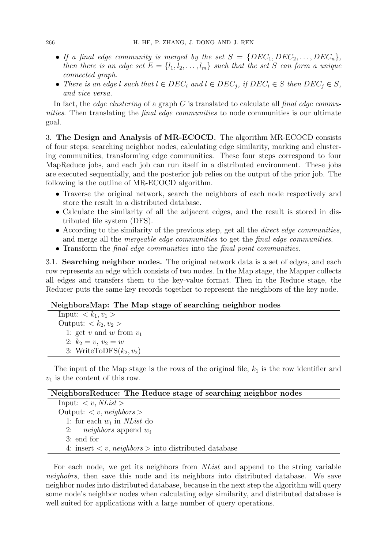- If a final edge community is merged by the set  $S = \{DEC_1, DEC_2, \ldots, DEC_n\}$ *then there is an edge set*  $E = \{l_1, l_2, \ldots, l_m\}$  *such that the set S can form a unique connected graph.*
- There is an edge l such that  $l \in DEC_i$  and  $l \in DEC_j$ , if  $DEC_i \in S$  then  $DEC_j \in S$ , *and vice versa.*

In fact, the *edge clustering* of a graph *G* is translated to calculate all *final edge communities*. Then translating the *final edge communities* to node communities is our ultimate goal.

3. **The Design and Analysis of MR-ECOCD.** The algorithm MR-ECOCD consists of four steps: searching neighbor nodes, calculating edge similarity, marking and clustering communities, transforming edge communities. These four steps correspond to four MapReduce jobs, and each job can run itself in a distributed environment. These jobs are executed sequentially, and the posterior job relies on the output of the prior job. The following is the outline of MR-ECOCD algorithm.

- Traverse the original network, search the neighbors of each node respectively and store the result in a distributed database.
- Calculate the similarity of all the adjacent edges, and the result is stored in distributed file system (DFS).
- *•* According to the similarity of the previous step, get all the *direct edge communities*, and merge all the *mergeable edge communities* to get the *final edge communities*.
- *•* Transform the *final edge communities* into the *final point communities*.

3.1. **Searching neighbor nodes.** The original network data is a set of edges, and each row represents an edge which consists of two nodes. In the Map stage, the Mapper collects all edges and transfers them to the key-value format. Then in the Reduce stage, the Reducer puts the same-key records together to represent the neighbors of the key node.

#### **NeighborsMap: The Map stage of searching neighbor nodes**

Input:  $\langle k_1, v_1 \rangle$ Output:  $\langle k_2, v_2 \rangle$ 1: get  $v$  and  $w$  from  $v_1$ 2:  $k_2 = v, v_2 = w$ 3: WriteToDFS $(k_2, v_2)$ 

The input of the Map stage is the rows of the original file,  $k_1$  is the row identifier and *v*<sup>1</sup> is the content of this row.

#### **NeighborsReduce: The Reduce stage of searching neighbor nodes**

Input:  $\langle v, MList \rangle$ Output: *< v, neighbors >* 1: for each  $w_i$  in *NList* do 2: *neighbors* append *w<sup>i</sup>* 3: end for 4: insert *< v, neighbors >* into distributed database

For each node, we get its neighbors from *NList* and append to the string variable *neighobrs*, then save this node and its neighbors into distributed database. We save neighbor nodes into distributed database, because in the next step the algorithm will query some node's neighbor nodes when calculating edge similarity, and distributed database is well suited for applications with a large number of query operations.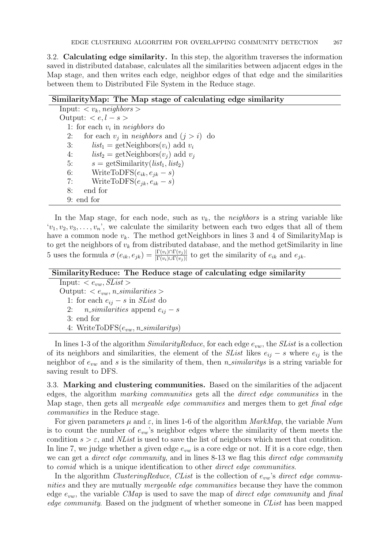3.2. **Calculating edge similarity.** In this step, the algorithm traverses the information saved in distributed database, calculates all the similarities between adjacent edges in the Map stage, and then writes each edge, neighbor edges of that edge and the similarities between them to Distributed File System in the Reduce stage.

#### **SimilarityMap: The Map stage of calculating edge similarity**

Input:  $\langle v_k, \text{neighbors} \rangle$ Output: *< e, l − s >* 1: for each  $v_i$  in  $neighbors$  do 2: for each  $v_j$  in *neighbors* and  $(j > i)$  do 3: *list*<sub>1</sub> = getNeighbors $(v_i)$  add  $v_i$ 4: *list*<sub>2</sub> = getNeighbors $(v_i)$  add  $v_j$ 5:  $s = \text{getSimilarly}(list_1, list_2)$ 6: WriteToDFS $(e_{ik}, e_{jk} - s)$ 7: WriteToDFS $(e_{ik}, e_{ik} - s)$ 8: end for 9: end for

In the Map stage, for each node, such as  $v_k$ , the *neighbors* is a string variable like  $v_1, v_2, v_3, \ldots, v_n$ , we calculate the similarity between each two edges that all of them have a common node  $v_k$ . The method getNeighbors in lines 3 and 4 of SimilarityMap is to get the neighbors of  $v_k$  from distributed database, and the method getSimilarity in line 5 uses the formula  $\sigma(e_{ik}, e_{jk}) = \frac{|\Gamma(v_i) \cap \Gamma(v_j)|}{|\Gamma(v_i) \cup \Gamma(v_j)|}$  to get the similarity of  $e_{ik}$  and  $e_{jk}$ .

| Similarity Reduce: The Reduce stage of calculating edge similarity |
|--------------------------------------------------------------------|
| Input: $\langle e_{vw}, SList \rangle$                             |
| Output: $\langle e_{vw}, n\_similarity \rangle$                    |
| 1: for each $e_{ij} - s$ in <i>SList</i> do                        |
| 2: <i>n_similarities</i> append $e_{ij} - s$                       |
| 3: end for                                                         |
| 4: WriteToDFS $(e_{vw}, n\_similarity)$                            |
|                                                                    |

In lines 1-3 of the algorithm *SimilarityReduce*, for each edge *evw*, the *SList* is a collection of its neighbors and similarities, the element of the *SList* likes  $e_{ij}$  – *s* where  $e_{ij}$  is the neighbor of *evw* and *s* is the similarity of them, then *n similaritys* is a string variable for saving result to DFS.

3.3. **Marking and clustering communities.** Based on the similarities of the adjacent edges, the algorithm *marking communities* gets all the *direct edge communities* in the Map stage, then gets all *mergeable edge communities* and merges them to get *final edge communities* in the Reduce stage.

For given parameters  $\mu$  and  $\varepsilon$ , in lines 1-6 of the algorithm *MarkMap*, the variable *Num* is to count the number of *evw*'s neighbor edges where the similarity of them meets the condition  $s > \varepsilon$ , and *NList* is used to save the list of neighbors which meet that condition. In line 7, we judge whether a given edge  $e_{vw}$  is a core edge or not. If it is a core edge, then we can get a *direct edge community*, and in lines 8-13 we flag this *direct edge community* to *comid* which is a unique identification to other *direct edge communities*.

In the algorithm *ClusteringReduce*, *CList* is the collection of *evw*'s *direct edge communities* and they are mutually *mergeable edge communities* because they have the common edge *evw*, the variable *CMap* is used to save the map of *direct edge community* and *final edge community*. Based on the judgment of whether someone in *CList* has been mapped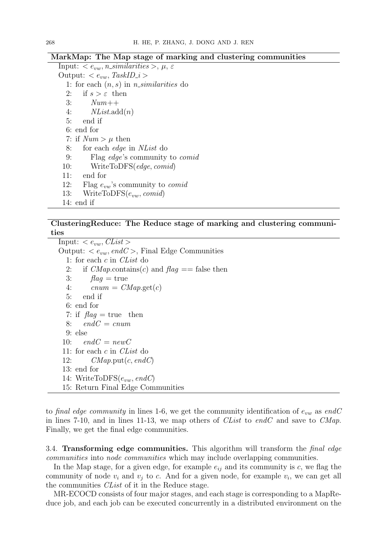#### **MarkMap: The Map stage of marking and clustering communities**

Input:  $\langle e_{vw}, n\_similarities \rangle, \mu, \varepsilon$ Output:  $\langle e_{vw}, \text{TaskID}_i \rangle$ 1: for each (*n, s*) in *n similarities* do 2: if  $s > \varepsilon$  then 3: *Num*++ 4: *NList*.add(*n*) 5: end if 6: end for 7: if  $Num > \mu$  then 8: for each *edge* in *NList* do 9: Flag *edge*'s community to *comid* 10: WriteToDFS(*edge, comid*) 11: end for 12: Flag *evw*'s community to *comid* 13: WriteToDFS(*evw, comid*)

14: end if

## **ClusteringReduce: The Reduce stage of marking and clustering communities**

 $Imput:  $\epsilon_{vw}$ *,*  $Clist$$ Output:  $\langle e_{vw}, endC \rangle$ , Final Edge Communities 1: for each *c* in *CList* do 2: if  $CMap$ .contains(*c*) and  $flag =$  false then 3:  $flag = true$ 4:  $cnum = CMap.get(c)$ 5: end if 6: end for 7: if  $flag = true$  then 8: *endC* = *cnum* 9: else 10:  $endC = newC$ 11: for each *c* in *CList* do 12: *CMap*.put(*c, endC*) 13: end for 14: WriteToDFS(*evw, endC*) 15: Return Final Edge Communities

to *final edge community* in lines 1-6, we get the community identification of *evw* as *endC* in lines 7-10, and in lines 11-13, we map others of *CList* to *endC* and save to *CMap*. Finally, we get the final edge communities.

3.4. **Transforming edge communities.** This algorithm will transform the *final edge communities* into *node communities* which may include overlapping communities.

In the Map stage, for a given edge, for example  $e_{ij}$  and its community is  $c$ , we flag the community of node  $v_i$  and  $v_j$  to c. And for a given node, for example  $v_i$ , we can get all the communities *CList* of it in the Reduce stage.

MR-ECOCD consists of four major stages, and each stage is corresponding to a MapReduce job, and each job can be executed concurrently in a distributed environment on the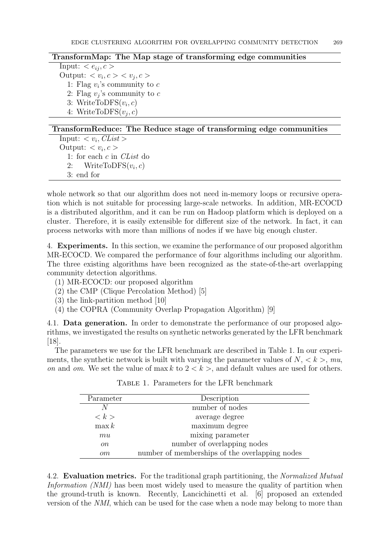### **TransformMap: The Map stage of transforming edge communities**

Input:  $\langle e_{ij}, c \rangle$ Output:  $\langle v_i, c \rangle \langle v_j, c \rangle$ 1: Flag  $v_i$ 's community to  $c$ 2: Flag  $v_j$ 's community to  $c$ 3: WriteToDFS $(v_i, c)$ 4: WriteToDFS $(v_j, c)$ 

### **TransformReduce: The Reduce stage of transforming edge communities**

Input:  $\langle v_i, \text{Cl} \rangle$ Output:  $\langle v_i, c \rangle$ 1: for each *c* in *CList* do 2: WriteToDFS $(v_i, c)$ 3: end for

whole network so that our algorithm does not need in-memory loops or recursive operation which is not suitable for processing large-scale networks. In addition, MR-ECOCD is a distributed algorithm, and it can be run on Hadoop platform which is deployed on a cluster. Therefore, it is easily extensible for different size of the network. In fact, it can process networks with more than millions of nodes if we have big enough cluster.

4. **Experiments.** In this section, we examine the performance of our proposed algorithm MR-ECOCD. We compared the performance of four algorithms including our algorithm. The three existing algorithms have been recognized as the state-of-the-art overlapping community detection algorithms.

- (1) MR-ECOCD: our proposed algorithm
- (2) the CMP (Clique Percolation Method) [5]
- (3) the link-partition method [10]
- (4) the COPRA (Community Overlap Propagation Algorithm) [9]

4.1. **Data generation.** In order to demonstrate the performance of our proposed algorithms, we investigated the results on synthetic networks generated by the LFR benchmark [18].

The parameters we use for the LFR benchmark are described in Table 1. In our experiments, the synthetic network is built with varying the parameter values of  $N, \langle k \rangle$ ,  $mu$ , *on* and *om*. We set the value of max *k* to  $2 < k$ , and default values are used for others.

| Parameter           | Description                                    |
|---------------------|------------------------------------------------|
|                     | number of nodes                                |
| $\langle k \rangle$ | average degree                                 |
| $\max k$            | maximum degree                                 |
| mu                  | mixing parameter                               |
| <sub>on</sub>       | number of overlapping nodes                    |
| om                  | number of memberships of the overlapping nodes |

Table 1. Parameters for the LFR benchmark

4.2. **Evaluation metrics.** For the traditional graph partitioning, the *Normalized Mutual Information (NMI)* has been most widely used to measure the quality of partition when the ground-truth is known. Recently, Lancichinetti et al. [6] proposed an extended version of the *NMI*, which can be used for the case when a node may belong to more than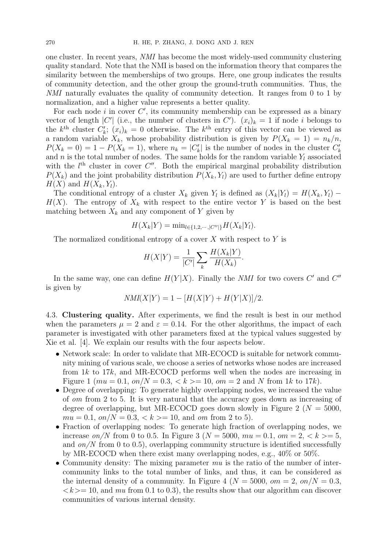one cluster. In recent years, *NMI* has become the most widely-used community clustering quality standard. Note that the NMI is based on the information theory that compares the similarity between the memberships of two groups. Here, one group indicates the results of community detection, and the other group the ground-truth communities. Thus, the *NMI* naturally evaluates the quality of community detection. It ranges from 0 to 1 by normalization, and a higher value represents a better quality.

For each node  $i$  in cover  $C'$ , its community membership can be expressed as a binary vector of length  $|C'|$  (i.e., the number of clusters in  $C'$ ).  $(x_i)_k = 1$  if node *i* belongs to the  $k^{\text{th}}$  cluster  $C'_{k}$ ;  $(x_{i})_{k} = 0$  otherwise. The  $k^{\text{th}}$  entry of this vector can be viewed as a random variable  $X_k$ , whose probability distribution is given by  $P(X_k = 1) = n_k/n$ ,  $P(X_k = 0) = 1 - P(X_k = 1)$ , where  $n_k = |C'_k|$  is the number of nodes in the cluster  $C'_k$ and *n* is the total number of nodes. The same holds for the random variable  $Y_l$  associated with the  $l<sup>th</sup>$  cluster in cover  $C''$ . Both the empirical marginal probability distribution  $P(X_k)$  and the joint probability distribution  $P(X_k, Y_l)$  are used to further define entropy  $H(X)$  and  $H(X_k, Y_l)$ .

The conditional entropy of a cluster  $X_k$  given  $Y_l$  is defined as  $(X_k|Y_l) = H(X_k,Y_l) H(X)$ . The entropy of  $X_k$  with respect to the entire vector Y is based on the best matching between  $X_k$  and any component of  $Y$  given by

$$
H(X_k|Y) = \min_{l \in \{1, 2, \dots, |C''|\}} H(X_k|Y_l).
$$

The normalized conditional entropy of a cover *X* with respect to *Y* is

$$
H(X|Y) = \frac{1}{|C'|} \sum_{k} \frac{H(X_k|Y)}{H(X_k)}.
$$

In the same way, one can define  $H(Y|X)$ . Finally the *NMI* for two covers  $C'$  and  $C''$ is given by

$$
NMI(X|Y) = 1 - [H(X|Y) + H(Y|X)]/2.
$$

4.3. **Clustering quality.** After experiments, we find the result is best in our method when the parameters  $\mu = 2$  and  $\varepsilon = 0.14$ . For the other algorithms, the impact of each parameter is investigated with other parameters fixed at the typical values suggested by Xie et al. [4]. We explain our results with the four aspects below.

- Network scale: In order to validate that MR-ECOCD is suitable for network community mining of various scale, we choose a series of networks whose nodes are increased from 1*k* to 17*k*, and MR-ECOCD performs well when the nodes are increasing in Figure 1 ( $mu = 0.1$ ,  $on/N = 0.3$ ,  $\lt k \gt 10$ ,  $om = 2$  and N from 1k to 17k).
- Degree of overlapping: To generate highly overlapping nodes, we increased the value of *om* from 2 to 5. It is very natural that the accuracy goes down as increasing of degree of overlapping, but MR-ECOCD goes down slowly in Figure 2 ( $N = 5000$ ,  $mu = 0.1$ ,  $on/N = 0.3$ ,  $\lt k \gt 10$ , and *om* from 2 to 5).
- Fraction of overlapping nodes: To generate high fraction of overlapping nodes, we increase *on*/*N* from 0 to 0.5. In Figure 3 ( $N = 5000$ ,  $mu = 0.1$ ,  $om = 2$ ,  $\lt k \gt 5$ , and *on/N* from 0 to 0.5), overlapping community structure is identified successfully by MR-ECOCD when there exist many overlapping nodes, e.g., 40% or 50%.
- Community density: The mixing parameter  $mu$  is the ratio of the number of intercommunity links to the total number of links, and thus, it can be considered as the internal density of a community. In Figure 4 ( $N = 5000$ ,  $\omega = 2$ ,  $\omega = N = 0.3$ ,  $\langle k \rangle = 10$ , and *mu* from 0.1 to 0.3), the results show that our algorithm can discover communities of various internal density.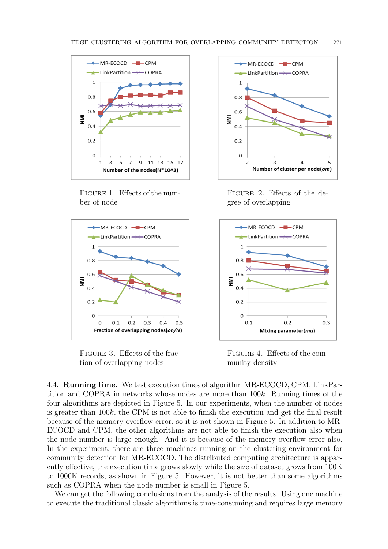

Figure 1. Effects of the number of node



FIGURE 3. Effects of the fraction of overlapping nodes



Figure 2. Effects of the degree of overlapping



Figure 4. Effects of the community density

4.4. **Running time.** We test execution times of algorithm MR-ECOCD, CPM, LinkPartition and COPRA in networks whose nodes are more than 100*k*. Running times of the four algorithms are depicted in Figure 5. In our experiments, when the number of nodes is greater than 100*k*, the CPM is not able to finish the execution and get the final result because of the memory overflow error, so it is not shown in Figure 5. In addition to MR-ECOCD and CPM, the other algorithms are not able to finish the execution also when the node number is large enough. And it is because of the memory overflow error also. In the experiment, there are three machines running on the clustering environment for community detection for MR-ECOCD. The distributed computing architecture is apparently effective, the execution time grows slowly while the size of dataset grows from 100K to 1000K records, as shown in Figure 5. However, it is not better than some algorithms such as COPRA when the node number is small in Figure 5.

We can get the following conclusions from the analysis of the results. Using one machine to execute the traditional classic algorithms is time-consuming and requires large memory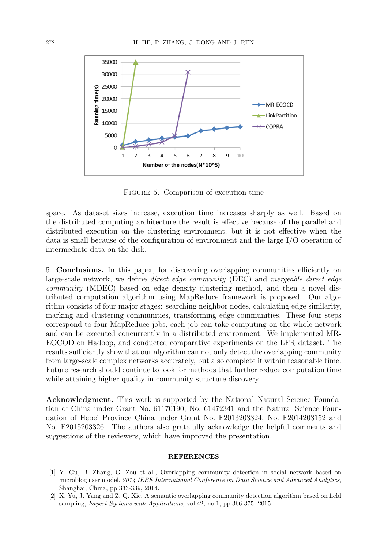

Figure 5. Comparison of execution time

space. As dataset sizes increase, execution time increases sharply as well. Based on the distributed computing architecture the result is effective because of the parallel and distributed execution on the clustering environment, but it is not effective when the data is small because of the configuration of environment and the large I/O operation of intermediate data on the disk.

5. **Conclusions.** In this paper, for discovering overlapping communities efficiently on large-scale network, we define *direct edge community* (DEC) and *mergeable direct edge community* (MDEC) based on edge density clustering method, and then a novel distributed computation algorithm using MapReduce framework is proposed. Our algorithm consists of four major stages: searching neighbor nodes, calculating edge similarity, marking and clustering communities, transforming edge communities. These four steps correspond to four MapReduce jobs, each job can take computing on the whole network and can be executed concurrently in a distributed environment. We implemented MR-EOCOD on Hadoop, and conducted comparative experiments on the LFR dataset. The results sufficiently show that our algorithm can not only detect the overlapping community from large-scale complex networks accurately, but also complete it within reasonable time. Future research should continue to look for methods that further reduce computation time while attaining higher quality in community structure discovery.

**Acknowledgment.** This work is supported by the National Natural Science Foundation of China under Grant No. 61170190, No. 61472341 and the Natural Science Foundation of Hebei Province China under Grant No. F2013203324, No. F2014203152 and No. F2015203326. The authors also gratefully acknowledge the helpful comments and suggestions of the reviewers, which have improved the presentation.

#### **REFERENCES**

- [1] Y. Gu, B. Zhang, G. Zou et al., Overlapping community detection in social network based on microblog user model, *2014 IEEE International Conference on Data Science and Advanced Analytics*, Shanghai, China, pp.333-339, 2014.
- [2] X. Yu, J. Yang and Z. Q. Xie, A semantic overlapping community detection algorithm based on field sampling, *Expert Systems with Applications*, vol.42, no.1, pp.366-375, 2015.